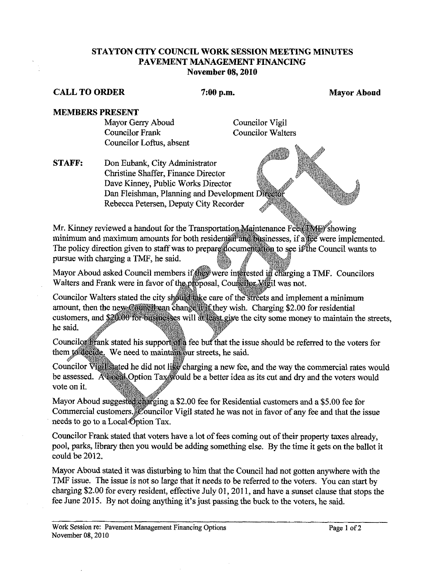## **STAYTON CITY COUNCIL WORK SESSION MEETING MINUTES PAVEMENT MANAGEMENT FINANCING November 08,2010**

## **CALL TO ORDER** 7:00 p.m. Mayor Aboud Mayor Aboud

## **MEMBERS PRESENT**

Mayor Gerry Aboud Councilor Vigil Councilor Frank Councilor Walters Councilor Loftus, absent

**STAFF:** Don Eubank, City Administrator Christine Shaffer, Finance Director Dave Kinney, Public Works Director Dan Fleishman, Planning and Development Rebecca Petersen, Deputy City Recorder

Mr. Kinney reviewed a handout for the Transportation Maintenance Fee (TMF) showing minimum and maximum amounts for both residential and businesses, if a fee were implemented. The policy direction given to staff was to prepare documentation to see if the Council wants to pursue with charging a TMF, he said.

Mayor Aboud asked Council members if they were interested in charging a TMF. Councilors Walters and Frank were in favor of the proposal, Council or Wigil was not.

Councilor Walters stated the city should take care of the streets and implement a minimum amount, then the new Council can change it if they wish. Charging \$2.00 for residential customers, and \$20.00 for businesses will at least give the city some money to maintain the streets, he said.

Councilor Frank stated his support of a fee but that the issue should be referred to the voters for them to decide. We need to maintain our streets, he said.

Councilor Vigil stated he did not like charging a new fee, and the way the commercial rates would be assessed. A cocal Option Tax would be a better idea as its cut and dry and the voters would vote on it.

Mayor Aboud suggested charging a \$2.00 fee for Residential customers and a \$5.00 fee for Commercial customers. Councilor Vigil stated he was not in favor of any fee and that the issue needs to go to a Local Option Tax.

Councilor Frank stated that voters have a lot of fees coming out of their property taxes already, pool, parks, library then you would be adding something else. By the time it gets on the ballot it could be 2012.

Mayor Aboud stated it was disturbing to him that the Council had not gotten anywhere with the TMF issue. The issue is not so large that it needs to be referred to the voters. You can start by charging \$2.00 for every resident, effective July 01,201 1, and have a sunset clause that stops the fee June 2015. By not doing anything it's just passing the buck to the voters, he said.